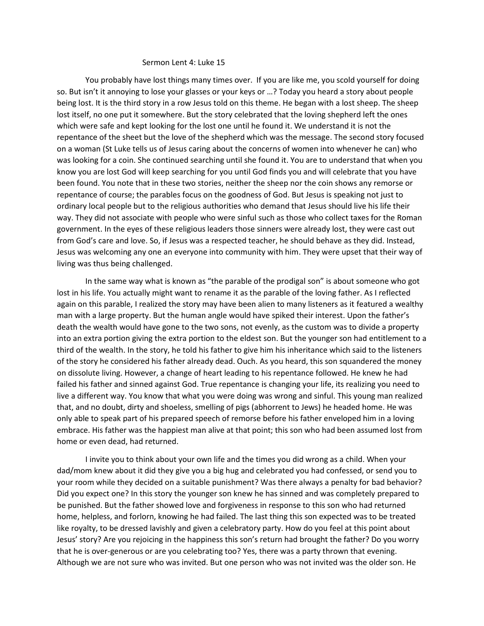## Sermon Lent 4: Luke 15

You probably have lost things many times over. If you are like me, you scold yourself for doing so. But isn't it annoying to lose your glasses or your keys or …? Today you heard a story about people being lost. It is the third story in a row Jesus told on this theme. He began with a lost sheep. The sheep lost itself, no one put it somewhere. But the story celebrated that the loving shepherd left the ones which were safe and kept looking for the lost one until he found it. We understand it is not the repentance of the sheet but the love of the shepherd which was the message. The second story focused on a woman (St Luke tells us of Jesus caring about the concerns of women into whenever he can) who was looking for a coin. She continued searching until she found it. You are to understand that when you know you are lost God will keep searching for you until God finds you and will celebrate that you have been found. You note that in these two stories, neither the sheep nor the coin shows any remorse or repentance of course; the parables focus on the goodness of God. But Jesus is speaking not just to ordinary local people but to the religious authorities who demand that Jesus should live his life their way. They did not associate with people who were sinful such as those who collect taxes for the Roman government. In the eyes of these religious leaders those sinners were already lost, they were cast out from God's care and love. So, if Jesus was a respected teacher, he should behave as they did. Instead, Jesus was welcoming any one an everyone into community with him. They were upset that their way of living was thus being challenged.

In the same way what is known as "the parable of the prodigal son" is about someone who got lost in his life. You actually might want to rename it as the parable of the loving father. As I reflected again on this parable, I realized the story may have been alien to many listeners as it featured a wealthy man with a large property. But the human angle would have spiked their interest. Upon the father's death the wealth would have gone to the two sons, not evenly, as the custom was to divide a property into an extra portion giving the extra portion to the eldest son. But the younger son had entitlement to a third of the wealth. In the story, he told his father to give him his inheritance which said to the listeners of the story he considered his father already dead. Ouch. As you heard, this son squandered the money on dissolute living. However, a change of heart leading to his repentance followed. He knew he had failed his father and sinned against God. True repentance is changing your life, its realizing you need to live a different way. You know that what you were doing was wrong and sinful. This young man realized that, and no doubt, dirty and shoeless, smelling of pigs (abhorrent to Jews) he headed home. He was only able to speak part of his prepared speech of remorse before his father enveloped him in a loving embrace. His father was the happiest man alive at that point; this son who had been assumed lost from home or even dead, had returned.

I invite you to think about your own life and the times you did wrong as a child. When your dad/mom knew about it did they give you a big hug and celebrated you had confessed, or send you to your room while they decided on a suitable punishment? Was there always a penalty for bad behavior? Did you expect one? In this story the younger son knew he has sinned and was completely prepared to be punished. But the father showed love and forgiveness in response to this son who had returned home, helpless, and forlorn, knowing he had failed. The last thing this son expected was to be treated like royalty, to be dressed lavishly and given a celebratory party. How do you feel at this point about Jesus' story? Are you rejoicing in the happiness this son's return had brought the father? Do you worry that he is over-generous or are you celebrating too? Yes, there was a party thrown that evening. Although we are not sure who was invited. But one person who was not invited was the older son. He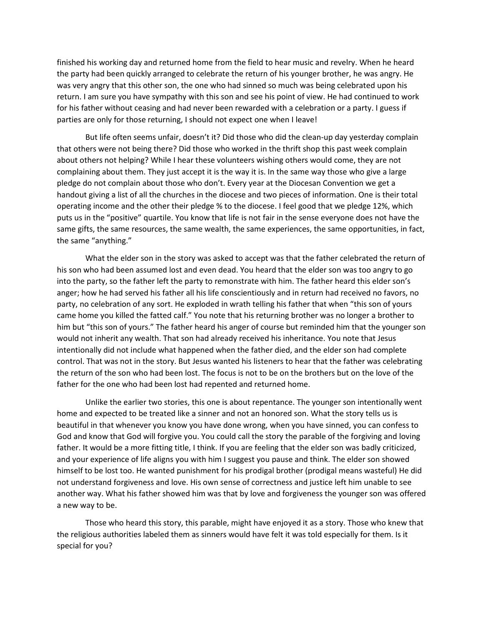finished his working day and returned home from the field to hear music and revelry. When he heard the party had been quickly arranged to celebrate the return of his younger brother, he was angry. He was very angry that this other son, the one who had sinned so much was being celebrated upon his return. I am sure you have sympathy with this son and see his point of view. He had continued to work for his father without ceasing and had never been rewarded with a celebration or a party. I guess if parties are only for those returning, I should not expect one when I leave!

But life often seems unfair, doesn't it? Did those who did the clean-up day yesterday complain that others were not being there? Did those who worked in the thrift shop this past week complain about others not helping? While I hear these volunteers wishing others would come, they are not complaining about them. They just accept it is the way it is. In the same way those who give a large pledge do not complain about those who don't. Every year at the Diocesan Convention we get a handout giving a list of all the churches in the diocese and two pieces of information. One is their total operating income and the other their pledge % to the diocese. I feel good that we pledge 12%, which puts us in the "positive" quartile. You know that life is not fair in the sense everyone does not have the same gifts, the same resources, the same wealth, the same experiences, the same opportunities, in fact, the same "anything."

What the elder son in the story was asked to accept was that the father celebrated the return of his son who had been assumed lost and even dead. You heard that the elder son was too angry to go into the party, so the father left the party to remonstrate with him. The father heard this elder son's anger; how he had served his father all his life conscientiously and in return had received no favors, no party, no celebration of any sort. He exploded in wrath telling his father that when "this son of yours came home you killed the fatted calf." You note that his returning brother was no longer a brother to him but "this son of yours." The father heard his anger of course but reminded him that the younger son would not inherit any wealth. That son had already received his inheritance. You note that Jesus intentionally did not include what happened when the father died, and the elder son had complete control. That was not in the story. But Jesus wanted his listeners to hear that the father was celebrating the return of the son who had been lost. The focus is not to be on the brothers but on the love of the father for the one who had been lost had repented and returned home.

Unlike the earlier two stories, this one is about repentance. The younger son intentionally went home and expected to be treated like a sinner and not an honored son. What the story tells us is beautiful in that whenever you know you have done wrong, when you have sinned, you can confess to God and know that God will forgive you. You could call the story the parable of the forgiving and loving father. It would be a more fitting title, I think. If you are feeling that the elder son was badly criticized, and your experience of life aligns you with him I suggest you pause and think. The elder son showed himself to be lost too. He wanted punishment for his prodigal brother (prodigal means wasteful) He did not understand forgiveness and love. His own sense of correctness and justice left him unable to see another way. What his father showed him was that by love and forgiveness the younger son was offered a new way to be.

Those who heard this story, this parable, might have enjoyed it as a story. Those who knew that the religious authorities labeled them as sinners would have felt it was told especially for them. Is it special for you?